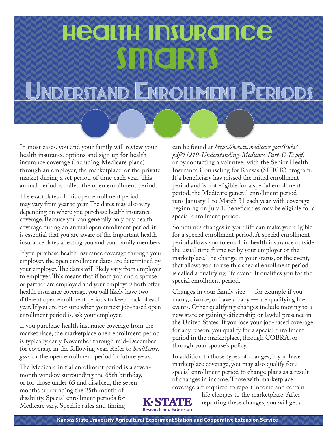# Health Insurance **Smarts**

## UNDERSTAND ENROLLMENT PERIODS

In most cases, you and your family will review your health insurance options and sign up for health insurance coverage (including Medicare plans) through an employer, the marketplace, or the private market during a set period of time each year. This annual period is called the open enrollment period.

The exact dates of this open enrollment period may vary from year to year. The dates may also vary depending on where you purchase health insurance coverage. Because you can generally only buy health coverage during an annual open enrollment period, it is essential that you are aware of the important health insurance dates affecting you and your family members.

If you purchase health insurance coverage through your employer, the open enrollment dates are determined by your employer. The dates will likely vary from employer to employer. This means that if both you and a spouse or partner are employed and your employers both offer health insurance coverage, you will likely have two different open enrollment periods to keep track of each year. If you are not sure when your next job-based open enrollment period is, ask your employer.

If you purchase health insurance coverage from the marketplace, the marketplace open enrollment period is typically early November through mid-December [for coverage in the following year. Refer to](https://www.healthcare.gov/) *healthcare. gov* for the open enrollment period in future years.

The Medicare initial enrollment period is a sevenmonth window surrounding the 65th birthday, or for those under 65 and disabled, the seven months surrounding the 25th month of disability. Special enrollment periods for Medicare vary. Specific rules and timing

can be found at *https://www.medicare.gov/Pubs/ [pdf/11219-Understanding-Medicare-Part-C-D.pdf](https://www.medicare.gov/Pubs/pdf/11219-Understanding-Medicare-Part-C-D.pdf)*, or by contacting a volunteer with the Senior Health Insurance Counseling for Kansas (SHICK) program. If a beneficiary has missed the initial enrollment period and is not eligible for a special enrollment period, the Medicare general enrollment period runs January 1 to March 31 each year, with coverage beginning on July 1. Beneficiaries may be eligible for a special enrollment period.

Sometimes changes in your life can make you eligible for a special enrollment period. A special enrollment period allows you to enroll in health insurance outside the usual time frame set by your employer or the marketplace. The change in your status, or the event, that allows you to use this special enrollment period is called a qualifying life event. It qualifies you for the special enrollment period.

Changes in your family size — for example if you marry, divorce, or have a baby — are qualifying life events. Other qualifying changes include moving to a new state or gaining citizenship or lawful presence in the United States. If you lose your job-based coverage for any reason, you qualify for a special enrollment period in the marketplace, through COBRA, or through your spouse's policy.

In addition to those types of changes, if you have marketplace coverage, you may also qualify for a special enrollment period to change plans as a result of changes in income. Those with marketplace coverage are required to report income and certain



life changes to the marketplace. After reporting these changes, you will get a